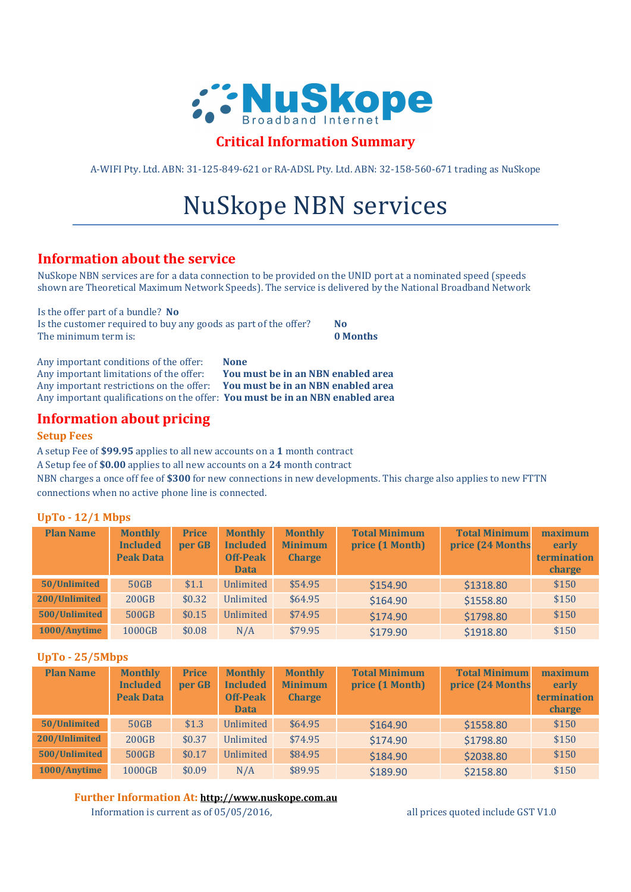

# Critical Information Summary

A-WIFI Pty. Ltd. ABN: 31-125-849-621 or RA-ADSL Pty. Ltd. ABN: 32-158-560-671 trading as NuSkope

# NuSkope NBN services

# Information about the service

NuSkope NBN services are for a data connection to be provided on the UNID port at a nominated speed (speeds shown are Theoretical Maximum Network Speeds). The service is delivered by the National Broadband Network

Is the offer part of a bundle? No Is the customer required to buy any goods as part of the offer?  $N$ The minimum term is: **0 Months** 

Any important conditions of the offer: None Any important limitations of the offer: You must be in an NBN enabled area Any important restrictions on the offer: You must be in an NBN enabled area Any important qualifications on the offer: You must be in an NBN enabled area

# Information about pricing

#### Setup Fees

A setup Fee of \$99.95 applies to all new accounts on a 1 month contract

A Setup fee of \$0.00 applies to all new accounts on a 24 month contract

NBN charges a once off fee of \$300 for new connections in new developments. This charge also applies to new FTTN connections when no active phone line is connected.

## UpTo - 12/1 Mbps

| <b>Plan Name</b> | <b>Monthly</b><br><b>Included</b><br><b>Peak Data</b> | <b>Price</b><br>per GB | <b>Monthly</b><br><b>Included</b><br><b>Off-Peak</b><br><b>Data</b> | <b>Monthly</b><br><b>Minimum</b><br><b>Charge</b> | <b>Total Minimum</b><br>price (1 Month) | <b>Total Minimum</b><br>price (24 Months | maximum<br>early<br>termination<br>charge |
|------------------|-------------------------------------------------------|------------------------|---------------------------------------------------------------------|---------------------------------------------------|-----------------------------------------|------------------------------------------|-------------------------------------------|
| 50/Unlimited     | 50GB                                                  | \$1.1                  | Unlimited                                                           | \$54.95                                           | \$154.90                                | \$1318.80                                | \$150                                     |
| 200/Unlimited    | <b>200GB</b>                                          | \$0.32                 | Unlimited                                                           | \$64.95                                           | \$164.90                                | \$1558.80                                | \$150                                     |
| 500/Unlimited    | 500GB                                                 | \$0.15                 | Unlimited                                                           | \$74.95                                           | \$174.90                                | \$1798.80                                | \$150                                     |
| 1000/Anytime     | 1000GB                                                | \$0.08                 | N/A                                                                 | \$79.95                                           | \$179.90                                | \$1918.80                                | \$150                                     |

## UpTo - 25/5Mbps

| <b>Plan Name</b> | <b>Monthly</b><br><b>Included</b><br><b>Peak Data</b> | <b>Price</b><br>per GB | <b>Monthly</b><br><b>Included</b><br><b>Off-Peak</b><br><b>Data</b> | <b>Monthly</b><br><b>Minimum</b><br><b>Charge</b> | <b>Total Minimum</b><br>price (1 Month) | <b>Total Minimum</b><br>price (24 Months | maximum<br>early<br>termination<br>charge |
|------------------|-------------------------------------------------------|------------------------|---------------------------------------------------------------------|---------------------------------------------------|-----------------------------------------|------------------------------------------|-------------------------------------------|
| 50/Unlimited     | 50GB                                                  | \$1.3                  | Unlimited                                                           | \$64.95                                           | \$164.90                                | \$1558.80                                | \$150                                     |
| 200/Unlimited    | <b>200GB</b>                                          | \$0.37                 | Unlimited                                                           | \$74.95                                           | \$174.90                                | \$1798.80                                | \$150                                     |
| 500/Unlimited    | 500GB                                                 | \$0.17                 | Unlimited                                                           | \$84.95                                           | \$184.90                                | \$2038.80                                | \$150                                     |
| 1000/Anytime     | 1000GB                                                | \$0.09                 | N/A                                                                 | \$89.95                                           | \$189.90                                | \$2158.80                                | \$150                                     |

## Further Information At: http://www.nuskope.com.au

Information is current as of 05/05/2016, all prices quoted include GST V1.0